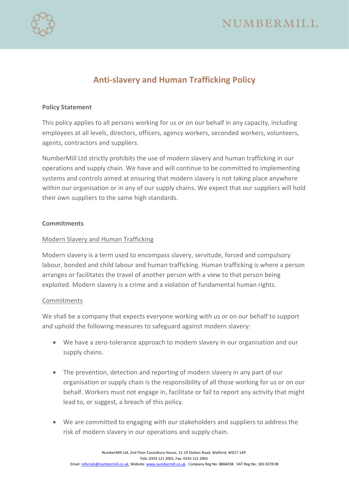



# **Anti-slavery and Human Trafficking Policy**

## **Policy Statement**

This policy applies to all persons working for us or on our behalf in any capacity, including employees at all levels, directors, officers, agency workers, seconded workers, volunteers, agents, contractors and suppliers.

NumberMill Ltd strictly prohibits the use of modern slavery and human trafficking in our operations and supply chain. We have and will continue to be committed to implementing systems and controls aimed at ensuring that modern slavery is not taking place anywhere within our organisation or in any of our supply chains. We expect that our suppliers will hold their own suppliers to the same high standards.

#### **Commitments**

### Modern Slavery and Human Trafficking

Modern slavery is a term used to encompass slavery, servitude, forced and compulsory labour, bonded and child labour and human trafficking. Human trafficking is where a person arranges or facilitates the travel of another person with a view to that person being exploited. Modern slavery is a crime and a violation of fundamental human rights.

#### Commitments

We shall be a company that expects everyone working with us or on our behalf to support and uphold the following measures to safeguard against modern slavery:

- We have a zero-tolerance approach to modern slavery in our organisation and our supply chains.
- The prevention, detection and reporting of modern slavery in any part of our organisation or supply chain is the responsibility of all those working for us or on our behalf. Workers must not engage in, facilitate or fail to report any activity that might lead to, or suggest, a breach of this policy.
- We are committed to engaging with our stakeholders and suppliers to address the risk of modern slavery in our operations and supply chain.